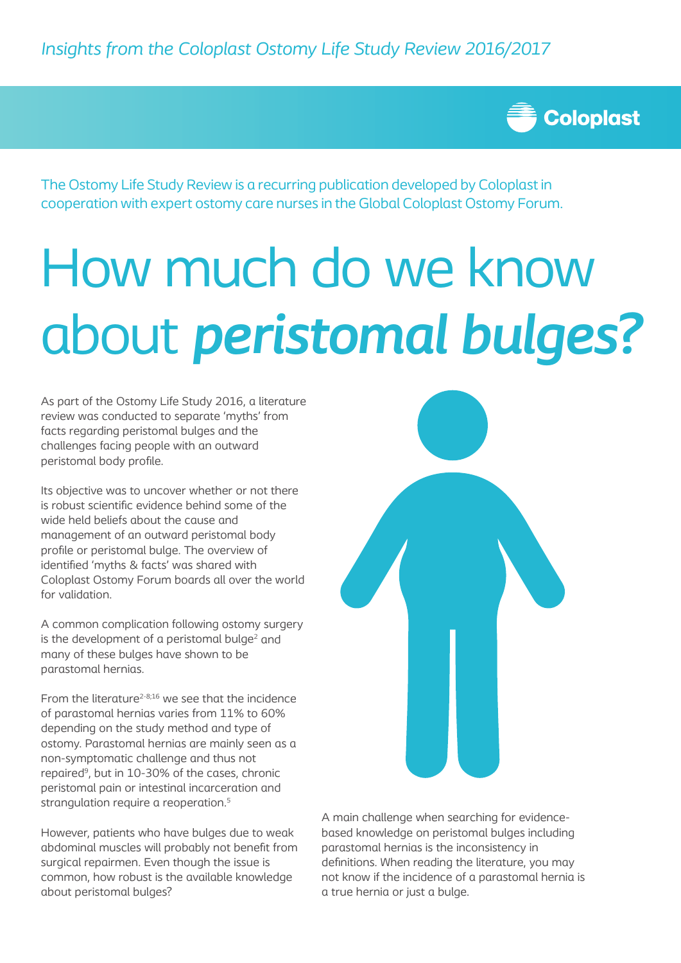

The Ostomy Life Study Review is a recurring publication developed by Coloplast in cooperation with expert ostomy care nurses in the Global Coloplast Ostomy Forum.

# How much do we know about *peristomal bulges?*

As part of the Ostomy Life Study 2016, a literature review was conducted to separate 'myths' from facts regarding peristomal bulges and the challenges facing people with an outward peristomal body profile.

Its objective was to uncover whether or not there is robust scientific evidence behind some of the wide held beliefs about the cause and management of an outward peristomal body profile or peristomal bulge. The overview of identified 'myths & facts' was shared with Coloplast Ostomy Forum boards all over the world for validation.

A common complication following ostomy surgery is the development of a peristomal bulge $2$  and many of these bulges have shown to be parastomal hernias.

From the literature<sup> $2-8;16$ </sup> we see that the incidence of parastomal hernias varies from 11% to 60% depending on the study method and type of ostomy. Parastomal hernias are mainly seen as a non-symptomatic challenge and thus not repaired9, but in 10-30% of the cases, chronic peristomal pain or intestinal incarceration and strangulation require a reoperation.<sup>5</sup>

However, patients who have bulges due to weak abdominal muscles will probably not benefit from surgical repairmen. Even though the issue is common, how robust is the available knowledge about peristomal bulges?



A main challenge when searching for evidencebased knowledge on peristomal bulges including parastomal hernias is the inconsistency in definitions. When reading the literature, you may not know if the incidence of a parastomal hernia is a true hernia or just a bulge.